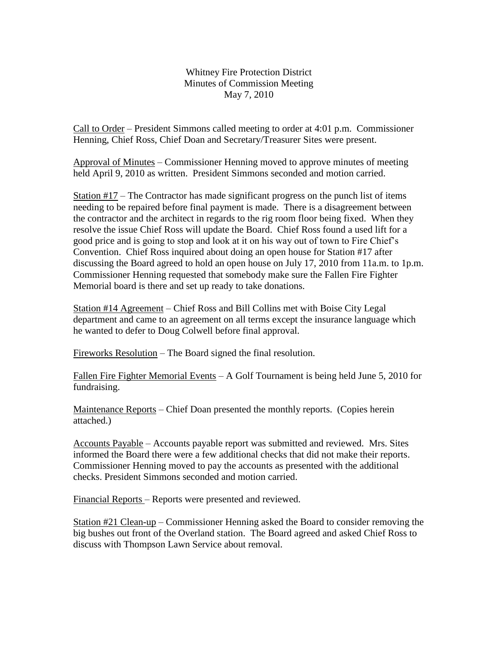Whitney Fire Protection District Minutes of Commission Meeting May 7, 2010

Call to Order – President Simmons called meeting to order at 4:01 p.m. Commissioner Henning, Chief Ross, Chief Doan and Secretary/Treasurer Sites were present.

Approval of Minutes – Commissioner Henning moved to approve minutes of meeting held April 9, 2010 as written. President Simmons seconded and motion carried.

Station  $#17$  – The Contractor has made significant progress on the punch list of items needing to be repaired before final payment is made. There is a disagreement between the contractor and the architect in regards to the rig room floor being fixed. When they resolve the issue Chief Ross will update the Board. Chief Ross found a used lift for a good price and is going to stop and look at it on his way out of town to Fire Chief's Convention. Chief Ross inquired about doing an open house for Station #17 after discussing the Board agreed to hold an open house on July 17, 2010 from 11a.m. to 1p.m. Commissioner Henning requested that somebody make sure the Fallen Fire Fighter Memorial board is there and set up ready to take donations.

Station #14 Agreement – Chief Ross and Bill Collins met with Boise City Legal department and came to an agreement on all terms except the insurance language which he wanted to defer to Doug Colwell before final approval.

Fireworks Resolution – The Board signed the final resolution.

Fallen Fire Fighter Memorial Events – A Golf Tournament is being held June 5, 2010 for fundraising.

Maintenance Reports – Chief Doan presented the monthly reports. (Copies herein attached.)

Accounts Payable – Accounts payable report was submitted and reviewed. Mrs. Sites informed the Board there were a few additional checks that did not make their reports. Commissioner Henning moved to pay the accounts as presented with the additional checks. President Simmons seconded and motion carried.

Financial Reports – Reports were presented and reviewed.

Station #21 Clean-up – Commissioner Henning asked the Board to consider removing the big bushes out front of the Overland station. The Board agreed and asked Chief Ross to discuss with Thompson Lawn Service about removal.